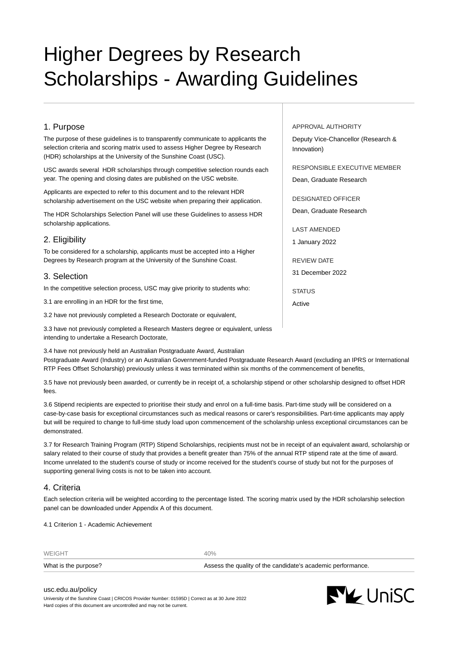# Higher Degrees by Research Scholarships - Awarding Guidelines

# 1. Purpose

The purpose of these guidelines is to transparently communicate to applicants the selection criteria and scoring matrix used to assess Higher Degree by Research (HDR) scholarships at the University of the Sunshine Coast (USC).

USC awards several HDR scholarships through competitive selection rounds each year. The opening and closing dates are published on the USC website.

Applicants are expected to refer to this document and to the relevant HDR scholarship advertisement on the USC website when preparing their application.

The HDR Scholarships Selection Panel will use these Guidelines to assess HDR scholarship applications.

# 2. Eligibility

To be considered for a scholarship, applicants must be accepted into a Higher Degrees by Research program at the University of the Sunshine Coast.

# 3. Selection

In the competitive selection process, USC may give priority to students who:

3.1 are enrolling in an HDR for the first time,

3.2 have not previously completed a Research Doctorate or equivalent,

3.3 have not previously completed a Research Masters degree or equivalent, unless intending to undertake a Research Doctorate,

3.4 have not previously held an Australian Postgraduate Award, Australian

Postgraduate Award (Industry) or an Australian Government-funded Postgraduate Research Award (excluding an IPRS or International RTP Fees Offset Scholarship) previously unless it was terminated within six months of the commencement of benefits,

3.5 have not previously been awarded, or currently be in receipt of, a scholarship stipend or other scholarship designed to offset HDR fees.

3.6 Stipend recipients are expected to prioritise their study and enrol on a full-time basis. Part-time study will be considered on a case-by-case basis for exceptional circumstances such as medical reasons or carer's responsibilities. Part-time applicants may apply but will be required to change to full-time study load upon commencement of the scholarship unless exceptional circumstances can be demonstrated.

3.7 for Research Training Program (RTP) Stipend Scholarships, recipients must not be in receipt of an equivalent award, scholarship or salary related to their course of study that provides a benefit greater than 75% of the annual RTP stipend rate at the time of award. Income unrelated to the student's course of study or income received for the student's course of study but not for the purposes of supporting general living costs is not to be taken into account.

## 4. Criteria

Each selection criteria will be weighted according to the percentage listed. The scoring matrix used by the HDR scholarship selection panel can be downloaded under Appendix A of this document.

4.1 Criterion 1 - Academic Achievement

| WEIGHT               | 40%                                                         |
|----------------------|-------------------------------------------------------------|
| What is the purpose? | Assess the quality of the candidate's academic performance. |

[usc.edu.au/policy](https://www.usc.edu.au/policy) University of the Sunshine Coast | CRICOS Provider Number: 01595D | Correct as at 30 June 2022 Hard copies of this document are uncontrolled and may not be current.

#### APPROVAL AUTHORITY

Deputy Vice-Chancellor (Research & Innovation)

RESPONSIBLE EXECUTIVE MEMBER Dean, Graduate Research

DESIGNATED OFFICER Dean, Graduate Research

LAST AMENDED 1 January 2022

REVIEW DATE

31 December 2022

**STATUS** 

Active

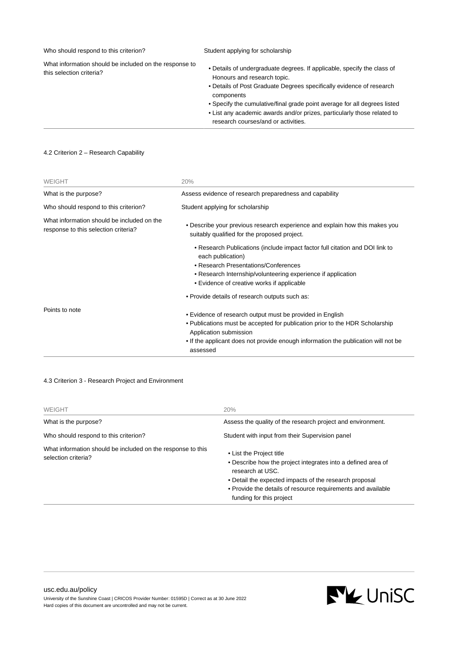| Who should respond to this criterion?                                              | Student applying for scholarship                                                                                                                                                                                                                                                                                                                                                            |
|------------------------------------------------------------------------------------|---------------------------------------------------------------------------------------------------------------------------------------------------------------------------------------------------------------------------------------------------------------------------------------------------------------------------------------------------------------------------------------------|
| What information should be included on the response to<br>this selection criteria? | • Details of undergraduate degrees. If applicable, specify the class of<br>Honours and research topic.<br>• Details of Post Graduate Degrees specifically evidence of research<br>components<br>• Specify the cumulative/final grade point average for all degrees listed<br>• List any academic awards and/or prizes, particularly those related to<br>research courses/and or activities. |
|                                                                                    |                                                                                                                                                                                                                                                                                                                                                                                             |

### 4.2 Criterion 2 – Research Capability

| <b>WEIGHT</b>                                                                      | 20%                                                                                                                                                                                                                                                                   |
|------------------------------------------------------------------------------------|-----------------------------------------------------------------------------------------------------------------------------------------------------------------------------------------------------------------------------------------------------------------------|
| What is the purpose?                                                               | Assess evidence of research preparedness and capability                                                                                                                                                                                                               |
| Who should respond to this criterion?                                              | Student applying for scholarship                                                                                                                                                                                                                                      |
| What information should be included on the<br>response to this selection criteria? | • Describe your previous research experience and explain how this makes you<br>suitably qualified for the proposed project.                                                                                                                                           |
|                                                                                    | • Research Publications (include impact factor full citation and DOI link to<br>each publication)<br>• Research Presentations/Conferences<br>• Research Internship/volunteering experience if application                                                             |
|                                                                                    | • Evidence of creative works if applicable<br>• Provide details of research outputs such as:                                                                                                                                                                          |
| Points to note                                                                     | • Evidence of research output must be provided in English<br>• Publications must be accepted for publication prior to the HDR Scholarship<br>Application submission<br>• If the applicant does not provide enough information the publication will not be<br>assessed |

# 4.3 Criterion 3 - Research Project and Environment

| <b>WEIGHT</b>                                                                      | 20%                                                                                                                                                                                                                                                                |
|------------------------------------------------------------------------------------|--------------------------------------------------------------------------------------------------------------------------------------------------------------------------------------------------------------------------------------------------------------------|
| What is the purpose?                                                               | Assess the quality of the research project and environment.                                                                                                                                                                                                        |
| Who should respond to this criterion?                                              | Student with input from their Supervision panel                                                                                                                                                                                                                    |
| What information should be included on the response to this<br>selection criteria? | • List the Project title<br>• Describe how the project integrates into a defined area of<br>research at USC.<br>• Detail the expected impacts of the research proposal<br>• Provide the details of resource requirements and available<br>funding for this project |